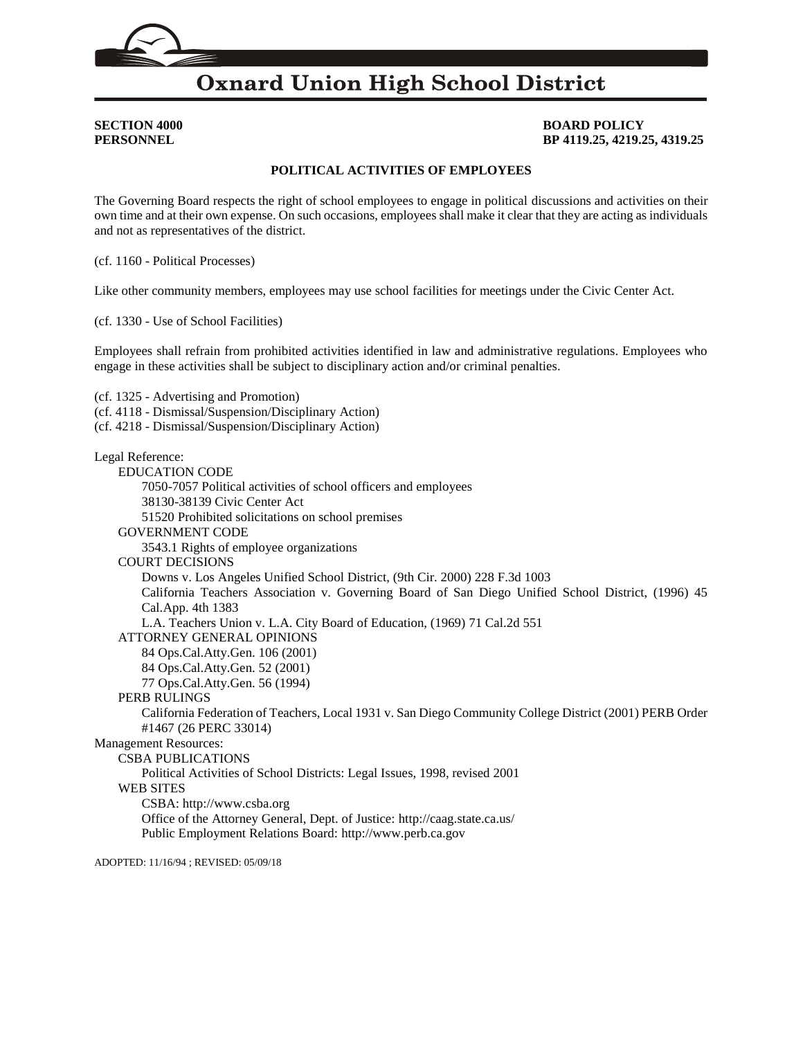# **Oxnard Union High School District**

## **SECTION 4000 BOARD POLICY PERSONNEL BP 4119.25, 4219.25, 4319.25**

## **POLITICAL ACTIVITIES OF EMPLOYEES**

The Governing Board respects the right of school employees to engage in political discussions and activities on their own time and at their own expense. On such occasions, employees shall make it clear that they are acting as individuals and not as representatives of the district.

(cf. [1160](http://gamutonline.net/displayPolicy/171565/4) - Political Processes)

Like other community members, employees may use school facilities for meetings under the Civic Center Act.

(cf. [1330](http://gamutonline.net/displayPolicy/936009/4) - Use of School Facilities)

Employees shall refrain from prohibited activities identified in law and administrative regulations. Employees who engage in these activities shall be subject to disciplinary action and/or criminal penalties.

(cf. [1325](http://gamutonline.net/displayPolicy/249186/4) - Advertising and Promotion) (cf. [4118](http://gamutonline.net/displayPolicy/931143/4) - Dismissal/Suspension/Disciplinary Action) (cf. [4218](http://gamutonline.net/displayPolicy/170827/4) - Dismissal/Suspension/Disciplinary Action) Legal Reference: EDUCATION CODE [7050](http://gamutonline.net/displayPolicy/129274/4)[-7057](http://gamutonline.net/displayPolicy/129282/4) Political activities of school officers and employees [38130](http://gamutonline.net/displayPolicy/137183/4)[-38139](http://gamutonline.net/displayPolicy/137191/4) Civic Center Act [51520](http://gamutonline.net/displayPolicy/133130/4) Prohibited solicitations on school premises GOVERNMENT CODE [3543.1](http://gamutonline.net/displayPolicy/144416/4) Rights of employee organizations COURT DECISIONS Downs v. Los Angeles Unified School District, (9th Cir. 2000) 228 F.3d 1003 California Teachers Association v. Governing Board of San Diego Unified School District, (1996) 45 Cal.App. 4th 1383 L.A. Teachers Union v. L.A. City Board of Education, (1969) 71 Cal.2d 551 ATTORNEY GENERAL OPINIONS 84 Ops.Cal.Atty.Gen. 106 (2001) 84 Ops.Cal.Atty.Gen. 52 (2001) 77 Ops.Cal.Atty.Gen. 56 (1994) PERB RULINGS California Federation of Teachers, Local 1931 v. San Diego Community College District (2001) PERB Order #1467 (26 PERC 33014) Management Resources: CSBA PUBLICATIONS

Political Activities of School Districts: Legal Issues, 1998, revised 2001

### WEB SITES

CSBA: [http://www.csba.org](http://www.csba.org/)

Office of the Attorney General, Dept. of Justice: <http://caag.state.ca.us/> Public Employment Relations Board: [http://www.perb.ca.gov](http://www.perb.ca.gov/)

ADOPTED: 11/16/94 ; REVISED: 05/09/18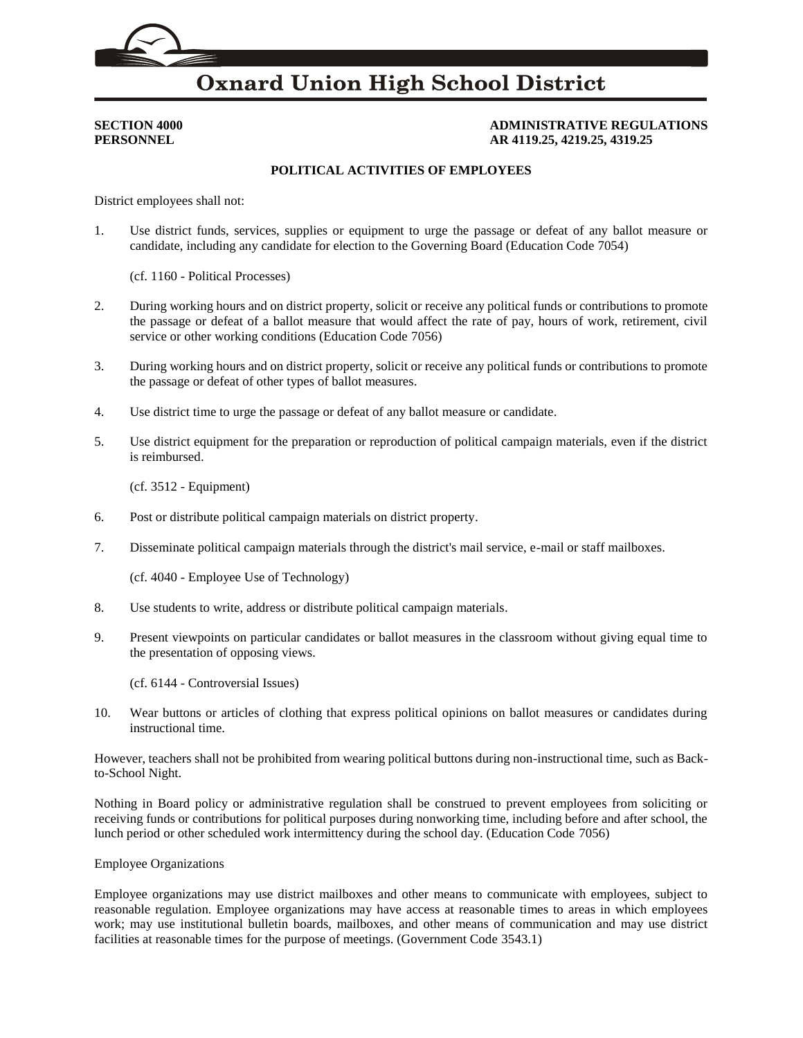# **Oxnard Union High School District**

## **SECTION 4000 ADMINISTRATIVE REGULATIONS PERSONNEL AR 4119.25, 4219.25, 4319.25**

## **POLITICAL ACTIVITIES OF EMPLOYEES**

District employees shall not:

1. Use district funds, services, supplies or equipment to urge the passage or defeat of any ballot measure or candidate, including any candidate for election to the Governing Board (Education Code [7054\)](http://gamutonline.net/displayPolicy/129278/4)

(cf. [1160](http://gamutonline.net/displayPolicy/171565/4) - Political Processes)

- 2. During working hours and on district property, solicit or receive any political funds or contributions to promote the passage or defeat of a ballot measure that would affect the rate of pay, hours of work, retirement, civil service or other working conditions (Education Code [7056\)](http://gamutonline.net/displayPolicy/129281/4)
- 3. During working hours and on district property, solicit or receive any political funds or contributions to promote the passage or defeat of other types of ballot measures.
- 4. Use district time to urge the passage or defeat of any ballot measure or candidate.
- 5. Use district equipment for the preparation or reproduction of political campaign materials, even if the district is reimbursed.

(cf. [3512](http://gamutonline.net/displayPolicy/171568/4) - Equipment)

- 6. Post or distribute political campaign materials on district property.
- 7. Disseminate political campaign materials through the district's mail service, e-mail or staff mailboxes.

(cf. [4040](http://gamutonline.net/displayPolicy/244944/4) - Employee Use of Technology)

- 8. Use students to write, address or distribute political campaign materials.
- 9. Present viewpoints on particular candidates or ballot measures in the classroom without giving equal time to the presentation of opposing views.

(cf. [6144](http://gamutonline.net/displayPolicy/170983/4) - Controversial Issues)

10. Wear buttons or articles of clothing that express political opinions on ballot measures or candidates during instructional time.

However, teachers shall not be prohibited from wearing political buttons during non-instructional time, such as Backto-School Night.

Nothing in Board policy or administrative regulation shall be construed to prevent employees from soliciting or receiving funds or contributions for political purposes during nonworking time, including before and after school, the lunch period or other scheduled work intermittency during the school day. (Education Code [7056\)](http://gamutonline.net/displayPolicy/129281/4)

### Employee Organizations

Employee organizations may use district mailboxes and other means to communicate with employees, subject to reasonable regulation. Employee organizations may have access at reasonable times to areas in which employees work; may use institutional bulletin boards, mailboxes, and other means of communication and may use district facilities at reasonable times for the purpose of meetings. (Government Code [3543.1\)](http://gamutonline.net/displayPolicy/144416/4)